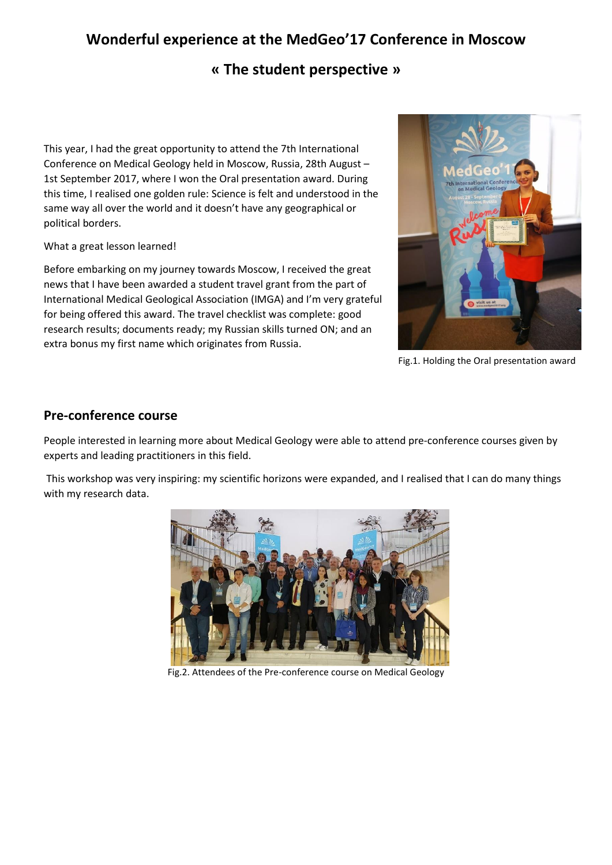# **Wonderful experience at the MedGeo'17 Conference in Moscow**

### **« The student perspective »**

This year, I had the great opportunity to attend the 7th International Conference on Medical Geology held in Moscow, Russia, 28th August – 1st September 2017, where I won the Oral presentation award. During this time, I realised one golden rule: Science is felt and understood in the same way all over the world and it doesn't have any geographical or political borders.

What a great lesson learned!

Before embarking on my journey towards Moscow, I received the great news that I have been awarded a student travel grant from the part of International Medical Geological Association (IMGA) and I'm very grateful for being offered this award. The travel checklist was complete: good research results; documents ready; my Russian skills turned ON; and an extra bonus my first name which originates from Russia.



Fig.1. Holding the Oral presentation award

#### **Pre-conference course**

People interested in learning more about Medical Geology were able to attend pre-conference courses given by experts and leading practitioners in this field.

This workshop was very inspiring: my scientific horizons were expanded, and I realised that I can do many things with my research data.



Fig.2. Attendees of the Pre-conference course on Medical Geology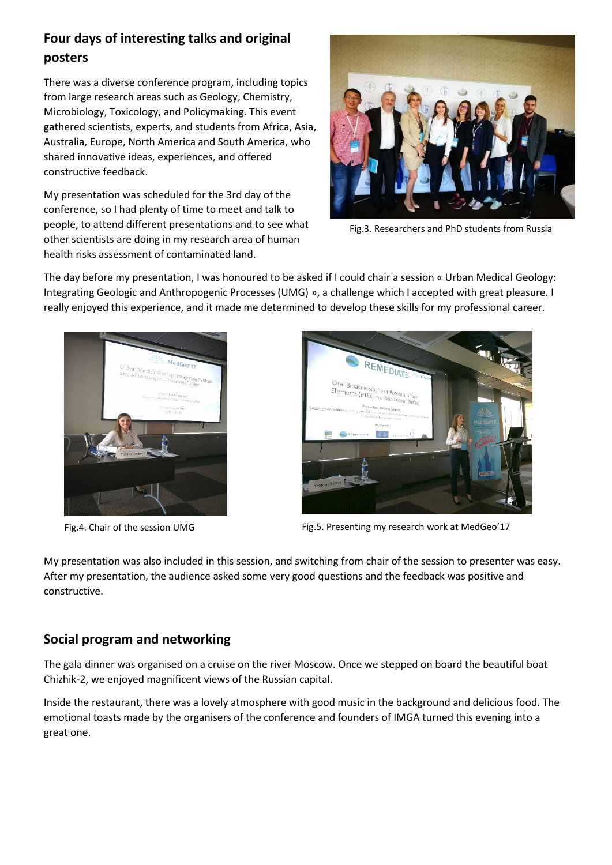## **Four days of interesting talks and original posters**

There was a diverse conference program, including topics from large research areas such as Geology, Chemistry, Microbiology, Toxicology, and Policymaking. This event gathered scientists, experts, and students from Africa, Asia, Australia, Europe, North America and South America, who shared innovative ideas, experiences, and offered constructive feedback.

My presentation was scheduled for the 3rd day of the conference, so I had plenty of time to meet and talk to people, to attend different presentations and to see what other scientists are doing in my research area of human health risks assessment of contaminated land.



Fig.3. Researchers and PhD students from Russia

The day before my presentation, I was honoured to be asked if I could chair a session « Urban Medical Geology: Integrating Geologic and Anthropogenic Processes (UMG) », a challenge which I accepted with great pleasure. I really enjoyed this experience, and it made me determined to develop these skills for my professional career.





Fig.4. Chair of the session UMG Fig.5. Presenting my research work at MedGeo'17

My presentation was also included in this session, and switching from chair of the session to presenter was easy. After my presentation, the audience asked some very good questions and the feedback was positive and constructive.

### **Social program and networking**

The gala dinner was organised on a cruise on the river Moscow. Once we stepped on board the beautiful boat Chizhik-2, we enjoyed magnificent views of the Russian capital.

Inside the restaurant, there was a lovely atmosphere with good music in the background and delicious food. The emotional toasts made by the organisers of the conference and founders of IMGA turned this evening into a great one.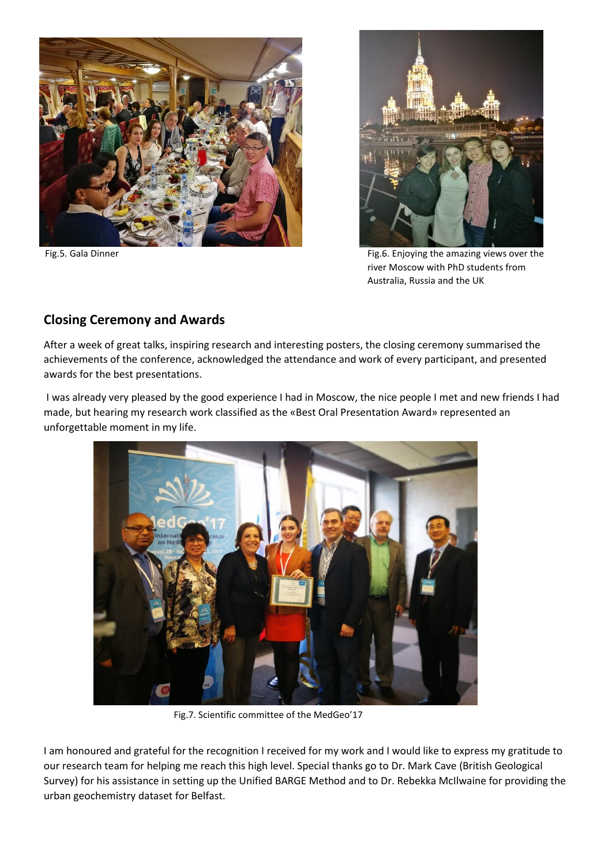



Fig.5. Gala Dinner Fig.5. Gala Dinner Fig.5. Enjoying the amazing views over the river Moscow with PhD students from Australia, Russia and the UK

### **Closing Ceremony and Awards**

After a week of great talks, inspiring research and interesting posters, the closing ceremony summarised the achievements of the conference, acknowledged the attendance and work of every participant, and presented awards for the best presentations.

I was already very pleased by the good experience I had in Moscow, the nice people I met and new friends I had made, but hearing my research work classified as the «Best Oral Presentation Award» represented an unforgettable moment in my life.



Fig.7. Scientific committee of the MedGeo'17

I am honoured and grateful for the recognition I received for my work and I would like to express my gratitude to our research team for helping me reach this high level. Special thanks go to Dr. Mark Cave (British Geological Survey) for his assistance in setting up the Unified BARGE Method and to Dr. Rebekka McIlwaine for providing the urban geochemistry dataset for Belfast.